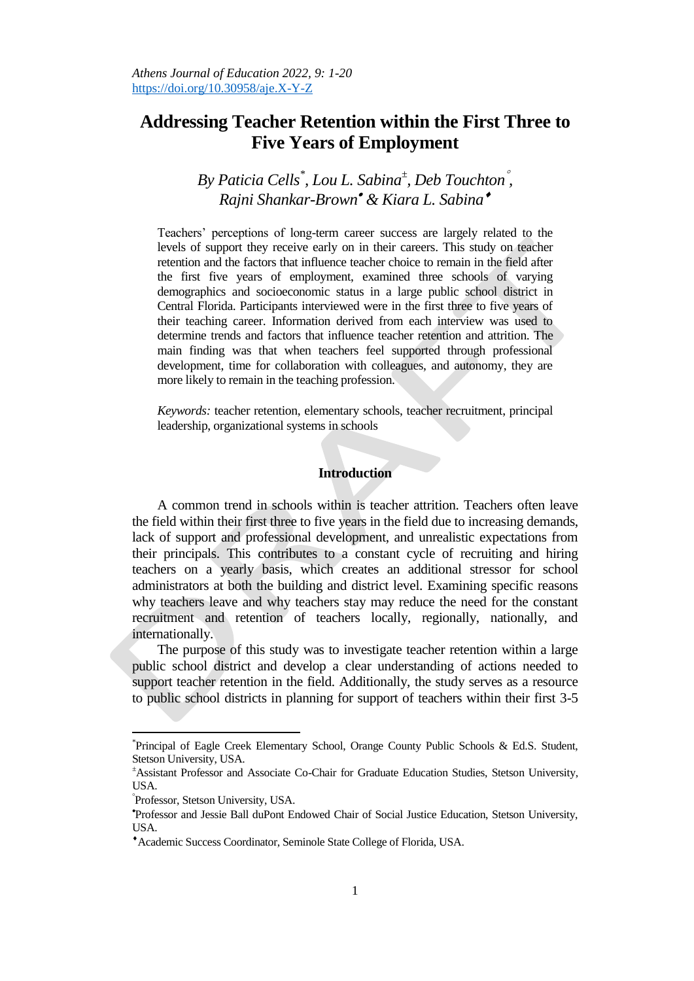# **Addressing Teacher Retention within the First Three to Five Years of Employment**

# *By Paticia Cells\* , Lou L. Sabina<sup>±</sup> , Deb Touchton , Rajni Shankar-Brown & Kiara L. Sabina*

Teachers' perceptions of long-term career success are largely related to the levels of support they receive early on in their careers. This study on teacher retention and the factors that influence teacher choice to remain in the field after the first five years of employment, examined three schools of varying demographics and socioeconomic status in a large public school district in Central Florida. Participants interviewed were in the first three to five years of their teaching career. Information derived from each interview was used to determine trends and factors that influence teacher retention and attrition. The main finding was that when teachers feel supported through professional development, time for collaboration with colleagues, and autonomy, they are more likely to remain in the teaching profession.

*Keywords:* teacher retention, elementary schools, teacher recruitment, principal leadership, organizational systems in schools

# **Introduction**

A common trend in schools within is teacher attrition. Teachers often leave the field within their first three to five years in the field due to increasing demands, lack of support and professional development, and unrealistic expectations from their principals. This contributes to a constant cycle of recruiting and hiring teachers on a yearly basis, which creates an additional stressor for school administrators at both the building and district level. Examining specific reasons why teachers leave and why teachers stay may reduce the need for the constant recruitment and retention of teachers locally, regionally, nationally, and internationally.

The purpose of this study was to investigate teacher retention within a large public school district and develop a clear understanding of actions needed to support teacher retention in the field. Additionally, the study serves as a resource to public school districts in planning for support of teachers within their first 3-5

l

<sup>\*</sup> Principal of Eagle Creek Elementary School, Orange County Public Schools & Ed.S. Student, Stetson University, USA.

<sup>±</sup>Assistant Professor and Associate Co-Chair for Graduate Education Studies, Stetson University, USA.

Professor, Stetson University, USA.

Professor and Jessie Ball duPont Endowed Chair of Social Justice Education, Stetson University, USA.

Academic Success Coordinator, Seminole State College of Florida, USA.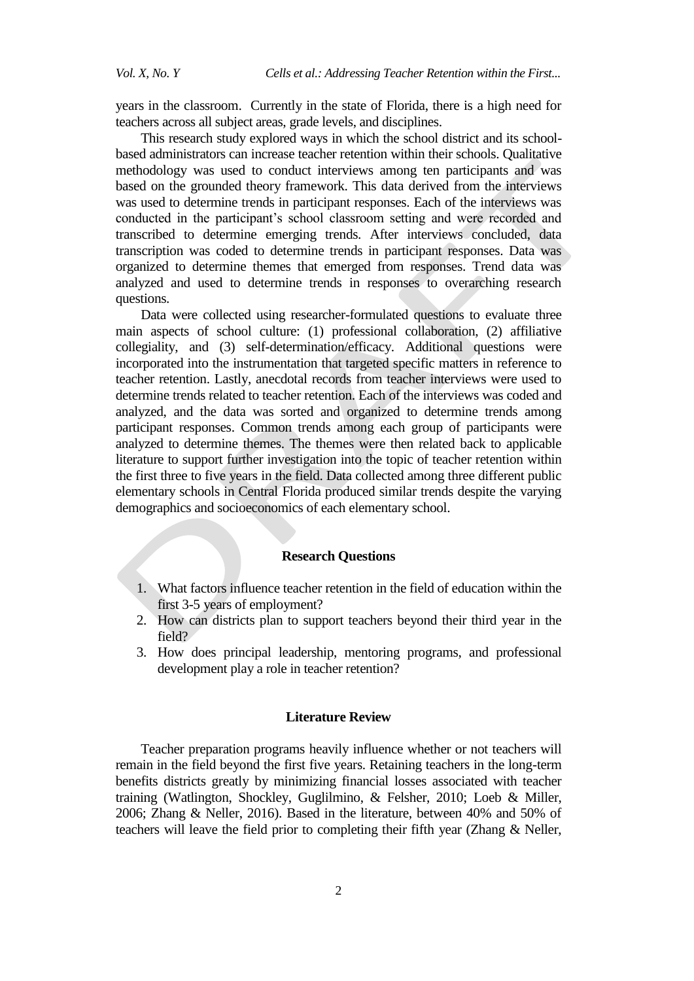years in the classroom. Currently in the state of Florida, there is a high need for teachers across all subject areas, grade levels, and disciplines.

This research study explored ways in which the school district and its schoolbased administrators can increase teacher retention within their schools. Qualitative methodology was used to conduct interviews among ten participants and was based on the grounded theory framework. This data derived from the interviews was used to determine trends in participant responses. Each of the interviews was conducted in the participant's school classroom setting and were recorded and transcribed to determine emerging trends. After interviews concluded, data transcription was coded to determine trends in participant responses. Data was organized to determine themes that emerged from responses. Trend data was analyzed and used to determine trends in responses to overarching research questions.

Data were collected using researcher-formulated questions to evaluate three main aspects of school culture: (1) professional collaboration, (2) affiliative collegiality, and (3) self-determination/efficacy. Additional questions were incorporated into the instrumentation that targeted specific matters in reference to teacher retention. Lastly, anecdotal records from teacher interviews were used to determine trends related to teacher retention. Each of the interviews was coded and analyzed, and the data was sorted and organized to determine trends among participant responses. Common trends among each group of participants were analyzed to determine themes. The themes were then related back to applicable literature to support further investigation into the topic of teacher retention within the first three to five years in the field. Data collected among three different public elementary schools in Central Florida produced similar trends despite the varying demographics and socioeconomics of each elementary school.

## **Research Questions**

- 1. What factors influence teacher retention in the field of education within the first 3-5 years of employment?
- 2. How can districts plan to support teachers beyond their third year in the field?
- 3. How does principal leadership, mentoring programs, and professional development play a role in teacher retention?

#### **Literature Review**

Teacher preparation programs heavily influence whether or not teachers will remain in the field beyond the first five years. Retaining teachers in the long-term benefits districts greatly by minimizing financial losses associated with teacher training (Watlington, Shockley, Guglilmino, & Felsher, 2010; Loeb & Miller, 2006; Zhang & Neller, 2016). Based in the literature, between 40% and 50% of teachers will leave the field prior to completing their fifth year (Zhang & Neller,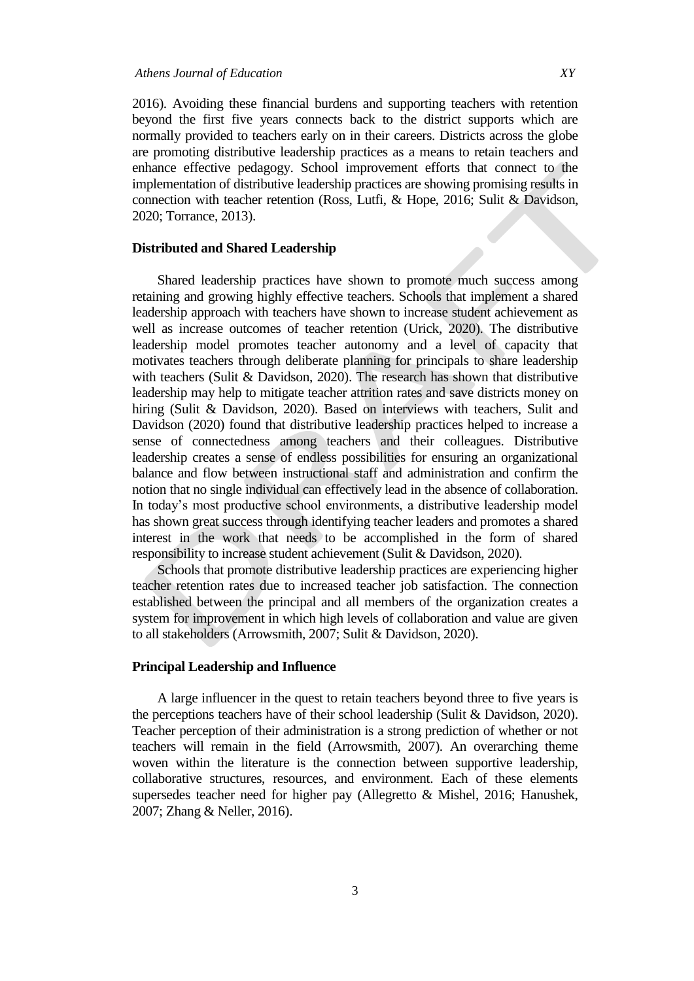2016). Avoiding these financial burdens and supporting teachers with retention beyond the first five years connects back to the district supports which are normally provided to teachers early on in their careers. Districts across the globe are promoting distributive leadership practices as a means to retain teachers and enhance effective pedagogy. School improvement efforts that connect to the implementation of distributive leadership practices are showing promising results in connection with teacher retention (Ross, Lutfi, & Hope, 2016; Sulit & Davidson, 2020; Torrance, 2013).

## **Distributed and Shared Leadership**

Shared leadership practices have shown to promote much success among retaining and growing highly effective teachers. Schools that implement a shared leadership approach with teachers have shown to increase student achievement as well as increase outcomes of teacher retention (Urick, 2020). The distributive leadership model promotes teacher autonomy and a level of capacity that motivates teachers through deliberate planning for principals to share leadership with teachers (Sulit & Davidson, 2020). The research has shown that distributive leadership may help to mitigate teacher attrition rates and save districts money on hiring (Sulit & Davidson, 2020). Based on interviews with teachers, Sulit and Davidson (2020) found that distributive leadership practices helped to increase a sense of connectedness among teachers and their colleagues. Distributive leadership creates a sense of endless possibilities for ensuring an organizational balance and flow between instructional staff and administration and confirm the notion that no single individual can effectively lead in the absence of collaboration. In today's most productive school environments, a distributive leadership model has shown great success through identifying teacher leaders and promotes a shared interest in the work that needs to be accomplished in the form of shared responsibility to increase student achievement (Sulit & Davidson, 2020).

Schools that promote distributive leadership practices are experiencing higher teacher retention rates due to increased teacher job satisfaction. The connection established between the principal and all members of the organization creates a system for improvement in which high levels of collaboration and value are given to all stakeholders (Arrowsmith, 2007; Sulit & Davidson, 2020).

#### **Principal Leadership and Influence**

A large influencer in the quest to retain teachers beyond three to five years is the perceptions teachers have of their school leadership (Sulit & Davidson, 2020). Teacher perception of their administration is a strong prediction of whether or not teachers will remain in the field (Arrowsmith, 2007). An overarching theme woven within the literature is the connection between supportive leadership, collaborative structures, resources, and environment. Each of these elements supersedes teacher need for higher pay (Allegretto & Mishel, 2016; Hanushek, 2007; Zhang & Neller, 2016).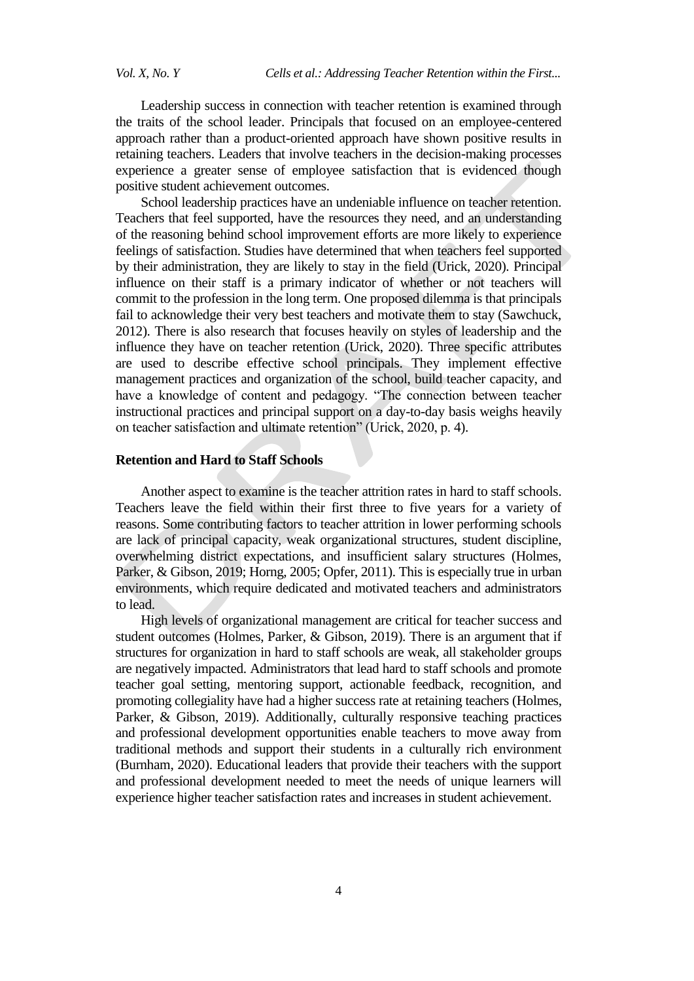Leadership success in connection with teacher retention is examined through the traits of the school leader. Principals that focused on an employee-centered approach rather than a product-oriented approach have shown positive results in retaining teachers. Leaders that involve teachers in the decision-making processes experience a greater sense of employee satisfaction that is evidenced though positive student achievement outcomes.

School leadership practices have an undeniable influence on teacher retention. Teachers that feel supported, have the resources they need, and an understanding of the reasoning behind school improvement efforts are more likely to experience feelings of satisfaction. Studies have determined that when teachers feel supported by their administration, they are likely to stay in the field (Urick, 2020). Principal influence on their staff is a primary indicator of whether or not teachers will commit to the profession in the long term. One proposed dilemma is that principals fail to acknowledge their very best teachers and motivate them to stay (Sawchuck, 2012). There is also research that focuses heavily on styles of leadership and the influence they have on teacher retention (Urick, 2020). Three specific attributes are used to describe effective school principals. They implement effective management practices and organization of the school, build teacher capacity, and have a knowledge of content and pedagogy. "The connection between teacher instructional practices and principal support on a day-to-day basis weighs heavily on teacher satisfaction and ultimate retention" (Urick, 2020, p. 4).

# **Retention and Hard to Staff Schools**

Another aspect to examine is the teacher attrition rates in hard to staff schools. Teachers leave the field within their first three to five years for a variety of reasons. Some contributing factors to teacher attrition in lower performing schools are lack of principal capacity, weak organizational structures, student discipline, overwhelming district expectations, and insufficient salary structures (Holmes, Parker, & Gibson, 2019; Horng, 2005; Opfer, 2011). This is especially true in urban environments, which require dedicated and motivated teachers and administrators to lead.

High levels of organizational management are critical for teacher success and student outcomes (Holmes, Parker, & Gibson, 2019). There is an argument that if structures for organization in hard to staff schools are weak, all stakeholder groups are negatively impacted. Administrators that lead hard to staff schools and promote teacher goal setting, mentoring support, actionable feedback, recognition, and promoting collegiality have had a higher success rate at retaining teachers (Holmes, Parker, & Gibson, 2019). Additionally, culturally responsive teaching practices and professional development opportunities enable teachers to move away from traditional methods and support their students in a culturally rich environment (Burnham, 2020). Educational leaders that provide their teachers with the support and professional development needed to meet the needs of unique learners will experience higher teacher satisfaction rates and increases in student achievement.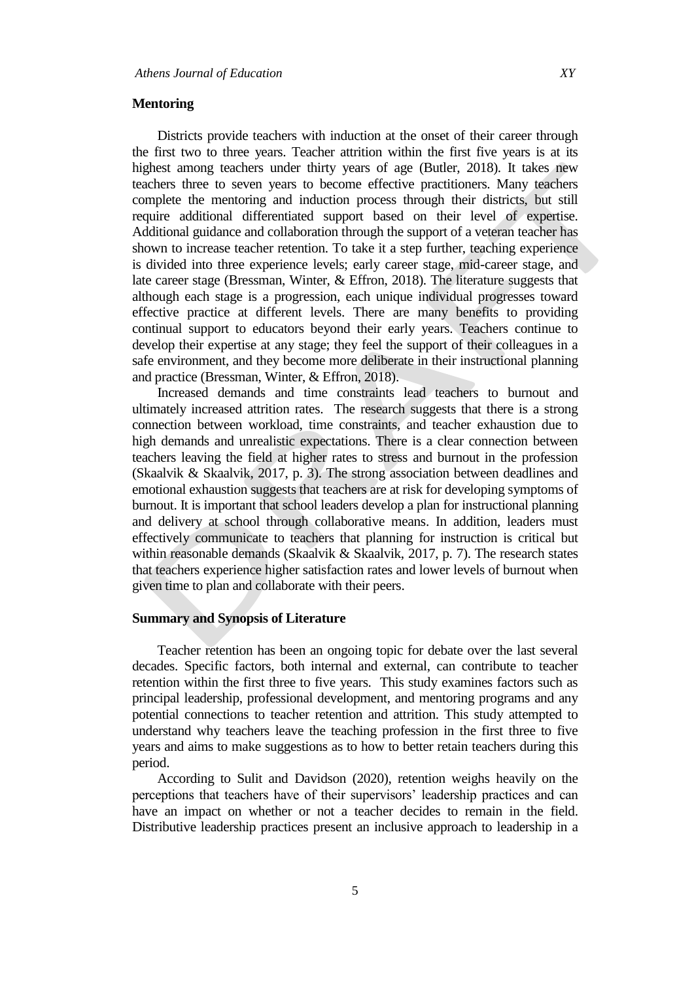#### **Mentoring**

Districts provide teachers with induction at the onset of their career through the first two to three years. Teacher attrition within the first five years is at its highest among teachers under thirty years of age (Butler, 2018). It takes new teachers three to seven years to become effective practitioners. Many teachers complete the mentoring and induction process through their districts, but still require additional differentiated support based on their level of expertise. Additional guidance and collaboration through the support of a veteran teacher has shown to increase teacher retention. To take it a step further, teaching experience is divided into three experience levels; early career stage, mid-career stage, and late career stage (Bressman, Winter, & Effron, 2018). The literature suggests that although each stage is a progression, each unique individual progresses toward effective practice at different levels. There are many benefits to providing continual support to educators beyond their early years. Teachers continue to develop their expertise at any stage; they feel the support of their colleagues in a safe environment, and they become more deliberate in their instructional planning and practice (Bressman, Winter, & Effron, 2018).

Increased demands and time constraints lead teachers to burnout and ultimately increased attrition rates. The research suggests that there is a strong connection between workload, time constraints, and teacher exhaustion due to high demands and unrealistic expectations. There is a clear connection between teachers leaving the field at higher rates to stress and burnout in the profession (Skaalvik & Skaalvik, 2017, p. 3). The strong association between deadlines and emotional exhaustion suggests that teachers are at risk for developing symptoms of burnout. It is important that school leaders develop a plan for instructional planning and delivery at school through collaborative means. In addition, leaders must effectively communicate to teachers that planning for instruction is critical but within reasonable demands (Skaalvik & Skaalvik, 2017, p. 7). The research states that teachers experience higher satisfaction rates and lower levels of burnout when given time to plan and collaborate with their peers.

## **Summary and Synopsis of Literature**

Teacher retention has been an ongoing topic for debate over the last several decades. Specific factors, both internal and external, can contribute to teacher retention within the first three to five years. This study examines factors such as principal leadership, professional development, and mentoring programs and any potential connections to teacher retention and attrition. This study attempted to understand why teachers leave the teaching profession in the first three to five years and aims to make suggestions as to how to better retain teachers during this period.

According to Sulit and Davidson (2020), retention weighs heavily on the perceptions that teachers have of their supervisors' leadership practices and can have an impact on whether or not a teacher decides to remain in the field. Distributive leadership practices present an inclusive approach to leadership in a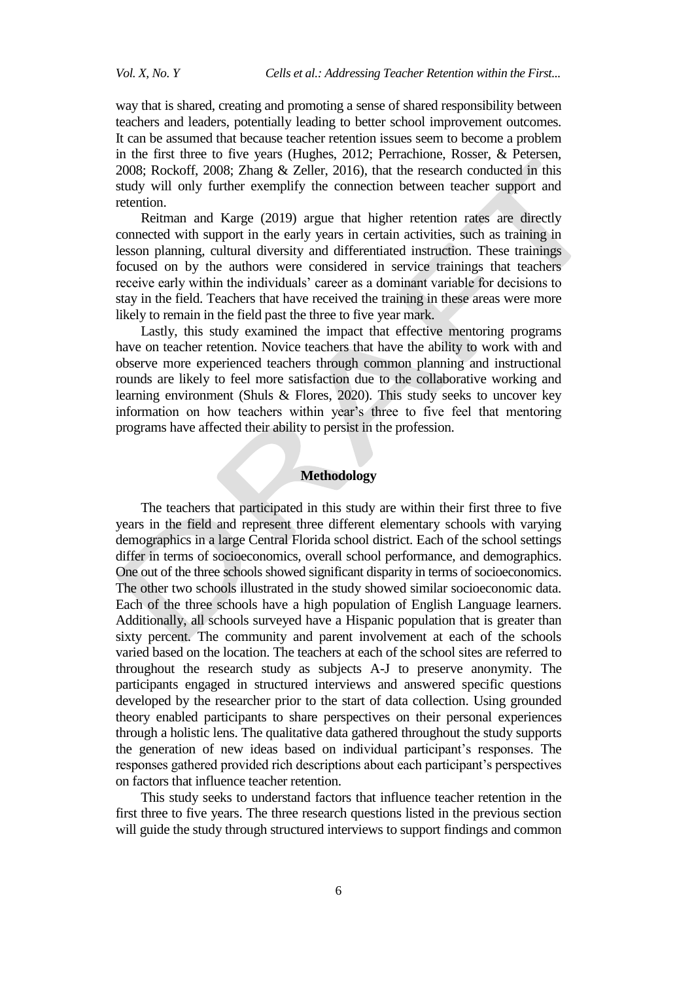way that is shared, creating and promoting a sense of shared responsibility between teachers and leaders, potentially leading to better school improvement outcomes. It can be assumed that because teacher retention issues seem to become a problem in the first three to five years (Hughes, 2012; Perrachione, Rosser, & Petersen, 2008; Rockoff, 2008; Zhang & Zeller, 2016), that the research conducted in this study will only further exemplify the connection between teacher support and retention.

Reitman and Karge (2019) argue that higher retention rates are directly connected with support in the early years in certain activities, such as training in lesson planning, cultural diversity and differentiated instruction. These trainings focused on by the authors were considered in service trainings that teachers receive early within the individuals' career as a dominant variable for decisions to stay in the field. Teachers that have received the training in these areas were more likely to remain in the field past the three to five year mark.

Lastly, this study examined the impact that effective mentoring programs have on teacher retention. Novice teachers that have the ability to work with and observe more experienced teachers through common planning and instructional rounds are likely to feel more satisfaction due to the collaborative working and learning environment (Shuls & Flores, 2020). This study seeks to uncover key information on how teachers within year's three to five feel that mentoring programs have affected their ability to persist in the profession.

## **Methodology**

The teachers that participated in this study are within their first three to five years in the field and represent three different elementary schools with varying demographics in a large Central Florida school district. Each of the school settings differ in terms of socioeconomics, overall school performance, and demographics. One out of the three schools showed significant disparity in terms of socioeconomics. The other two schools illustrated in the study showed similar socioeconomic data. Each of the three schools have a high population of English Language learners. Additionally, all schools surveyed have a Hispanic population that is greater than sixty percent. The community and parent involvement at each of the schools varied based on the location. The teachers at each of the school sites are referred to throughout the research study as subjects A-J to preserve anonymity. The participants engaged in structured interviews and answered specific questions developed by the researcher prior to the start of data collection. Using grounded theory enabled participants to share perspectives on their personal experiences through a holistic lens. The qualitative data gathered throughout the study supports the generation of new ideas based on individual participant's responses. The responses gathered provided rich descriptions about each participant's perspectives on factors that influence teacher retention.

This study seeks to understand factors that influence teacher retention in the first three to five years. The three research questions listed in the previous section will guide the study through structured interviews to support findings and common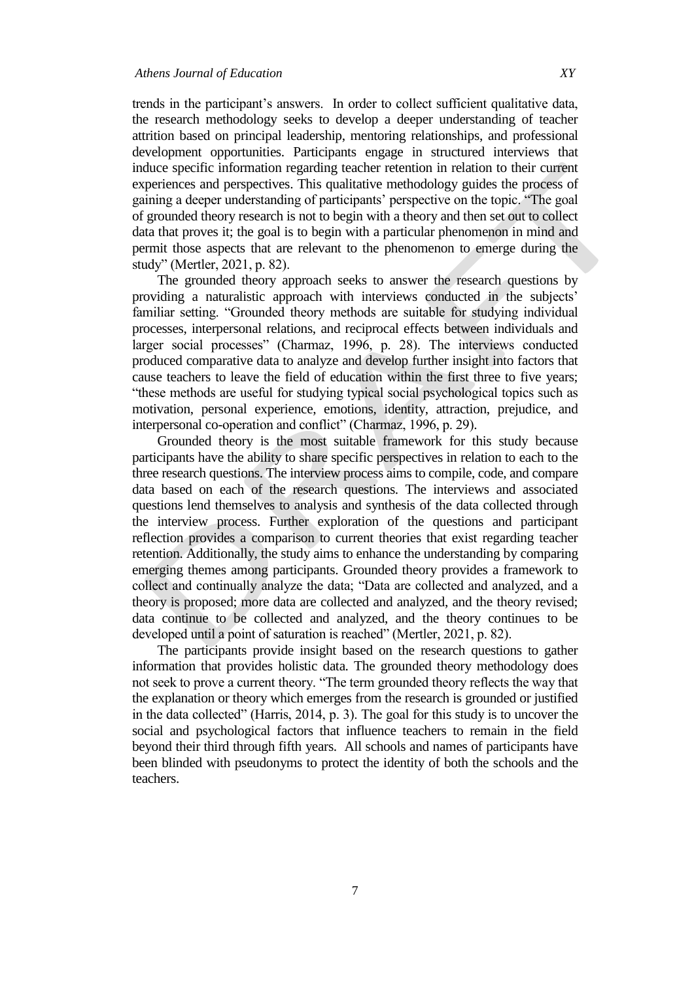trends in the participant's answers. In order to collect sufficient qualitative data,

the research methodology seeks to develop a deeper understanding of teacher attrition based on principal leadership, mentoring relationships, and professional development opportunities. Participants engage in structured interviews that induce specific information regarding teacher retention in relation to their current experiences and perspectives. This qualitative methodology guides the process of gaining a deeper understanding of participants' perspective on the topic. "The goal of grounded theory research is not to begin with a theory and then set out to collect data that proves it; the goal is to begin with a particular phenomenon in mind and permit those aspects that are relevant to the phenomenon to emerge during the study" (Mertler, 2021, p. 82).

The grounded theory approach seeks to answer the research questions by providing a naturalistic approach with interviews conducted in the subjects' familiar setting. "Grounded theory methods are suitable for studying individual processes, interpersonal relations, and reciprocal effects between individuals and larger social processes" (Charmaz, 1996, p. 28). The interviews conducted produced comparative data to analyze and develop further insight into factors that cause teachers to leave the field of education within the first three to five years; "these methods are useful for studying typical social psychological topics such as motivation, personal experience, emotions, identity, attraction, prejudice, and interpersonal co-operation and conflict" (Charmaz, 1996, p. 29).

Grounded theory is the most suitable framework for this study because participants have the ability to share specific perspectives in relation to each to the three research questions. The interview process aims to compile, code, and compare data based on each of the research questions. The interviews and associated questions lend themselves to analysis and synthesis of the data collected through the interview process. Further exploration of the questions and participant reflection provides a comparison to current theories that exist regarding teacher retention. Additionally, the study aims to enhance the understanding by comparing emerging themes among participants. Grounded theory provides a framework to collect and continually analyze the data; "Data are collected and analyzed, and a theory is proposed; more data are collected and analyzed, and the theory revised; data continue to be collected and analyzed, and the theory continues to be developed until a point of saturation is reached" (Mertler, 2021, p. 82).

The participants provide insight based on the research questions to gather information that provides holistic data. The grounded theory methodology does not seek to prove a current theory. "The term grounded theory reflects the way that the explanation or theory which emerges from the research is grounded or justified in the data collected" (Harris, 2014, p. 3). The goal for this study is to uncover the social and psychological factors that influence teachers to remain in the field beyond their third through fifth years. All schools and names of participants have been blinded with pseudonyms to protect the identity of both the schools and the teachers.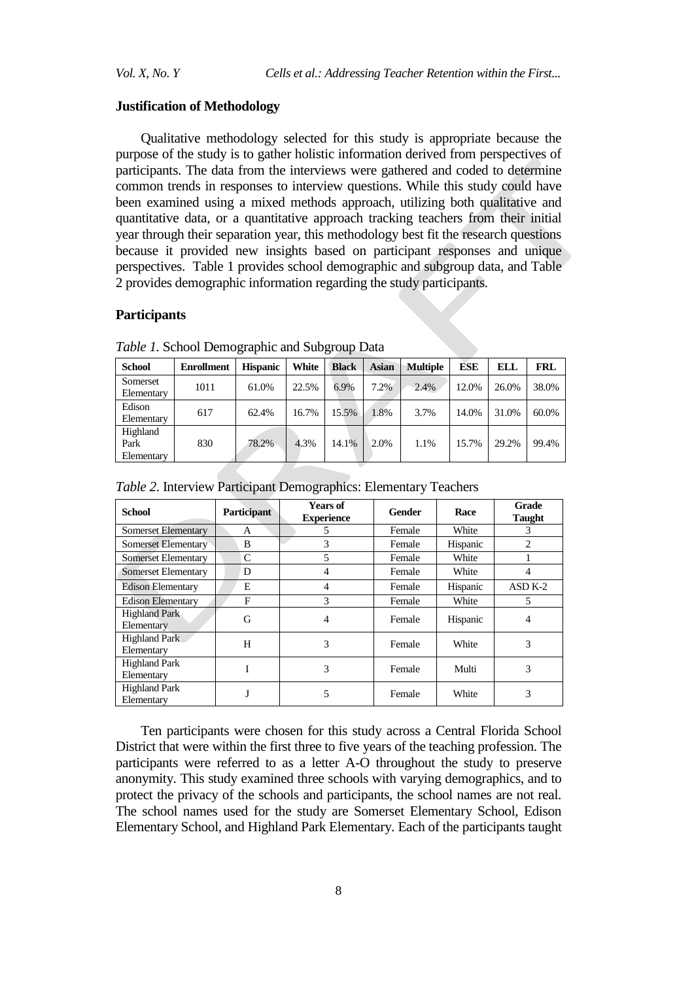#### **Justification of Methodology**

Qualitative methodology selected for this study is appropriate because the purpose of the study is to gather holistic information derived from perspectives of participants. The data from the interviews were gathered and coded to determine common trends in responses to interview questions. While this study could have been examined using a mixed methods approach, utilizing both qualitative and quantitative data, or a quantitative approach tracking teachers from their initial year through their separation year, this methodology best fit the research questions because it provided new insights based on participant responses and unique perspectives. Table 1 provides school demographic and subgroup data, and Table 2 provides demographic information regarding the study participants.

#### **Participants**

| <b>School</b>                  | <b>Enrollment</b> | <b>Hispanic</b> | White | <b>Black</b> | Asian | <b>Multiple</b> | ESE   | ELL   | <b>FRL</b> |
|--------------------------------|-------------------|-----------------|-------|--------------|-------|-----------------|-------|-------|------------|
| Somerset<br>Elementary         | 1011              | 61.0%           | 22.5% | 6.9%         | 7.2%  | 2.4%            | 12.0% | 26.0% | 38.0%      |
| Edison<br>Elementary           | 617               | 62.4%           | 16.7% | 15.5%        | 1.8%  | 3.7%            | 14.0% | 31.0% | 60.0%      |
| Highland<br>Park<br>Elementary | 830               | 78.2%           | 4.3%  | 14.1%        | 2.0%  | 1.1%            | 15.7% | 29.2% | 99.4%      |

*Table 1.* School Demographic and Subgroup Data

| <b>School</b>                      | <b>Participant</b> | <b>Years of</b><br><b>Experience</b> | <b>Gender</b> | Race     | Grade<br><b>Taught</b> |  |
|------------------------------------|--------------------|--------------------------------------|---------------|----------|------------------------|--|
| Somerset Elementary                | A                  | 5                                    | Female        | White    | 3                      |  |
| <b>Somerset Elementary</b>         | B                  | 3                                    | Female        | Hispanic | $\overline{c}$         |  |
| <b>Somerset Elementary</b>         | C                  | 5                                    | Female        | White    |                        |  |
| <b>Somerset Elementary</b>         | D                  | 4                                    | Female        | White    | 4                      |  |
| <b>Edison Elementary</b>           | E                  | 4                                    | Female        | Hispanic | $ASD K-2$              |  |
| <b>Edison Elementary</b>           | F                  | 3                                    | Female        | White    | 5                      |  |
| <b>Highland Park</b><br>Elementary | G                  | 4                                    | Female        | Hispanic | 4                      |  |
| <b>Highland Park</b><br>Elementary | H                  | 3                                    | Female        | White    | 3                      |  |
| <b>Highland Park</b><br>Elementary | I                  | 3                                    | Female        | Multi    | 3                      |  |
| <b>Highland Park</b><br>Elementary | J                  | 5                                    | Female        | White    | 3                      |  |

Ten participants were chosen for this study across a Central Florida School District that were within the first three to five years of the teaching profession. The participants were referred to as a letter A-O throughout the study to preserve anonymity. This study examined three schools with varying demographics, and to protect the privacy of the schools and participants, the school names are not real. The school names used for the study are Somerset Elementary School, Edison Elementary School, and Highland Park Elementary. Each of the participants taught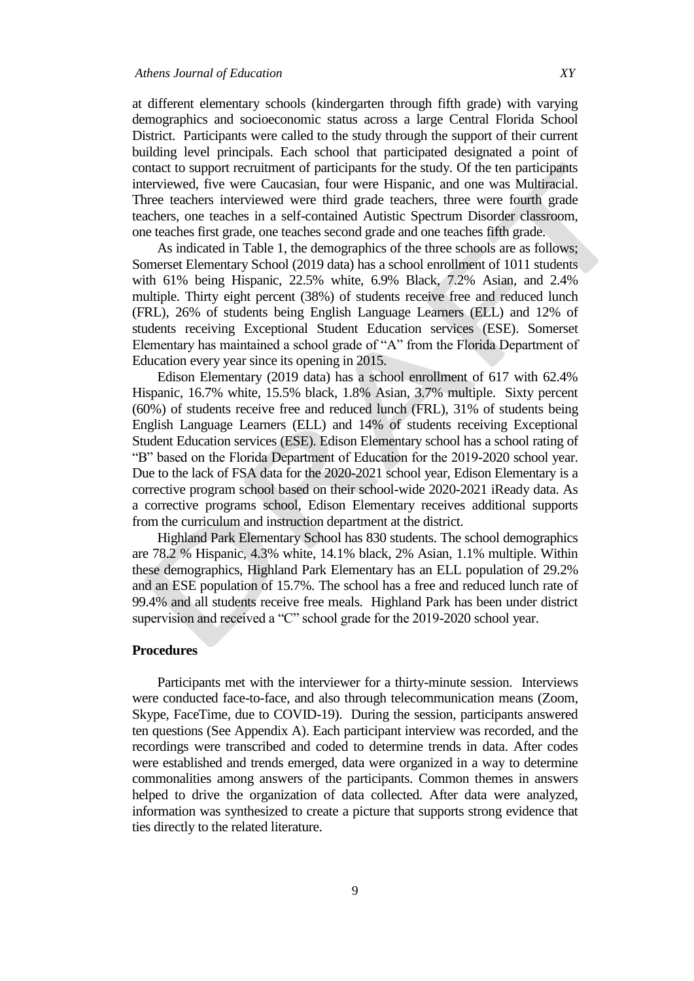at different elementary schools (kindergarten through fifth grade) with varying demographics and socioeconomic status across a large Central Florida School District. Participants were called to the study through the support of their current building level principals. Each school that participated designated a point of contact to support recruitment of participants for the study. Of the ten participants interviewed, five were Caucasian, four were Hispanic, and one was Multiracial. Three teachers interviewed were third grade teachers, three were fourth grade teachers, one teaches in a self-contained Autistic Spectrum Disorder classroom, one teaches first grade, one teaches second grade and one teaches fifth grade.

As indicated in Table 1, the demographics of the three schools are as follows; Somerset Elementary School (2019 data) has a school enrollment of 1011 students with 61% being Hispanic, 22.5% white, 6.9% Black, 7.2% Asian, and 2.4% multiple. Thirty eight percent (38%) of students receive free and reduced lunch (FRL), 26% of students being English Language Learners (ELL) and 12% of students receiving Exceptional Student Education services (ESE). Somerset Elementary has maintained a school grade of "A" from the Florida Department of Education every year since its opening in 2015.

Edison Elementary (2019 data) has a school enrollment of 617 with 62.4% Hispanic, 16.7% white, 15.5% black, 1.8% Asian, 3.7% multiple. Sixty percent (60%) of students receive free and reduced lunch (FRL), 31% of students being English Language Learners (ELL) and 14% of students receiving Exceptional Student Education services (ESE). Edison Elementary school has a school rating of "B" based on the Florida Department of Education for the 2019-2020 school year. Due to the lack of FSA data for the 2020-2021 school year, Edison Elementary is a corrective program school based on their school-wide 2020-2021 iReady data. As a corrective programs school, Edison Elementary receives additional supports from the curriculum and instruction department at the district.

Highland Park Elementary School has 830 students. The school demographics are 78.2 % Hispanic, 4.3% white, 14.1% black, 2% Asian, 1.1% multiple. Within these demographics, Highland Park Elementary has an ELL population of 29.2% and an ESE population of 15.7%. The school has a free and reduced lunch rate of 99.4% and all students receive free meals. Highland Park has been under district supervision and received a "C" school grade for the 2019-2020 school year.

#### **Procedures**

Participants met with the interviewer for a thirty-minute session. Interviews were conducted face-to-face, and also through telecommunication means (Zoom, Skype, FaceTime, due to COVID-19). During the session, participants answered ten questions (See Appendix A). Each participant interview was recorded, and the recordings were transcribed and coded to determine trends in data. After codes were established and trends emerged, data were organized in a way to determine commonalities among answers of the participants. Common themes in answers helped to drive the organization of data collected. After data were analyzed, information was synthesized to create a picture that supports strong evidence that ties directly to the related literature.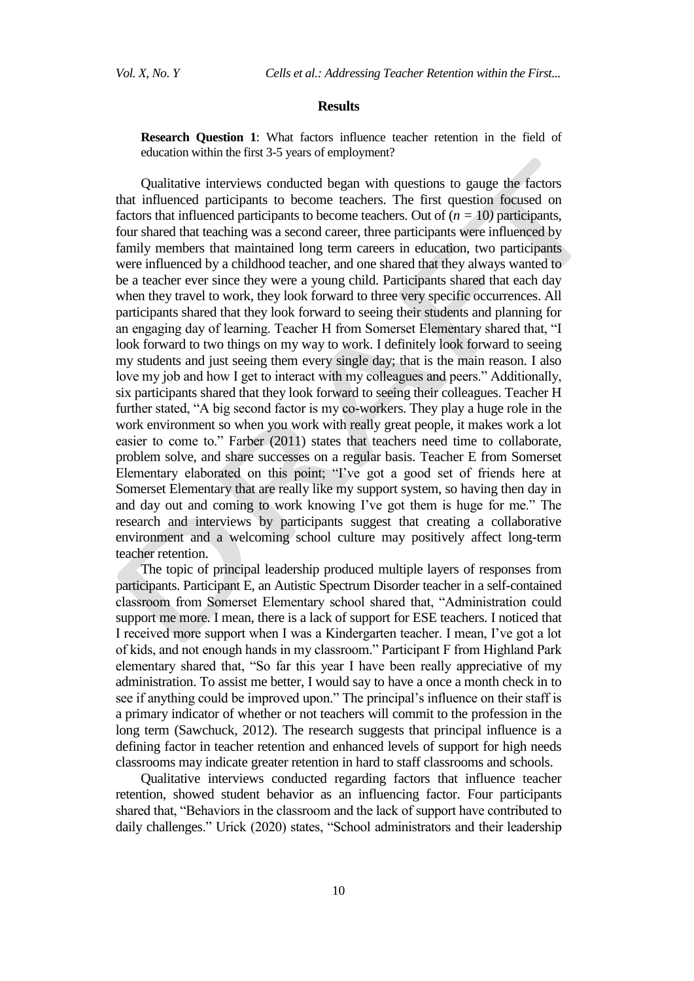#### **Results**

**Research Question 1**: What factors influence teacher retention in the field of education within the first 3-5 years of employment?

Qualitative interviews conducted began with questions to gauge the factors that influenced participants to become teachers. The first question focused on factors that influenced participants to become teachers. Out of  $(n = 10)$  participants, four shared that teaching was a second career, three participants were influenced by family members that maintained long term careers in education, two participants were influenced by a childhood teacher, and one shared that they always wanted to be a teacher ever since they were a young child. Participants shared that each day when they travel to work, they look forward to three very specific occurrences. All participants shared that they look forward to seeing their students and planning for an engaging day of learning. Teacher H from Somerset Elementary shared that, "I look forward to two things on my way to work. I definitely look forward to seeing my students and just seeing them every single day; that is the main reason. I also love my job and how I get to interact with my colleagues and peers." Additionally, six participants shared that they look forward to seeing their colleagues. Teacher H further stated, "A big second factor is my co-workers. They play a huge role in the work environment so when you work with really great people, it makes work a lot easier to come to." Farber (2011) states that teachers need time to collaborate, problem solve, and share successes on a regular basis. Teacher E from Somerset Elementary elaborated on this point; "I've got a good set of friends here at Somerset Elementary that are really like my support system, so having then day in and day out and coming to work knowing I've got them is huge for me." The research and interviews by participants suggest that creating a collaborative environment and a welcoming school culture may positively affect long-term teacher retention.

The topic of principal leadership produced multiple layers of responses from participants. Participant E, an Autistic Spectrum Disorder teacher in a self-contained classroom from Somerset Elementary school shared that, "Administration could support me more. I mean, there is a lack of support for ESE teachers. I noticed that I received more support when I was a Kindergarten teacher. I mean, I've got a lot of kids, and not enough hands in my classroom." Participant F from Highland Park elementary shared that, "So far this year I have been really appreciative of my administration. To assist me better, I would say to have a once a month check in to see if anything could be improved upon." The principal's influence on their staff is a primary indicator of whether or not teachers will commit to the profession in the long term (Sawchuck, 2012). The research suggests that principal influence is a defining factor in teacher retention and enhanced levels of support for high needs classrooms may indicate greater retention in hard to staff classrooms and schools.

Qualitative interviews conducted regarding factors that influence teacher retention, showed student behavior as an influencing factor. Four participants shared that, "Behaviors in the classroom and the lack of support have contributed to daily challenges." Urick (2020) states, "School administrators and their leadership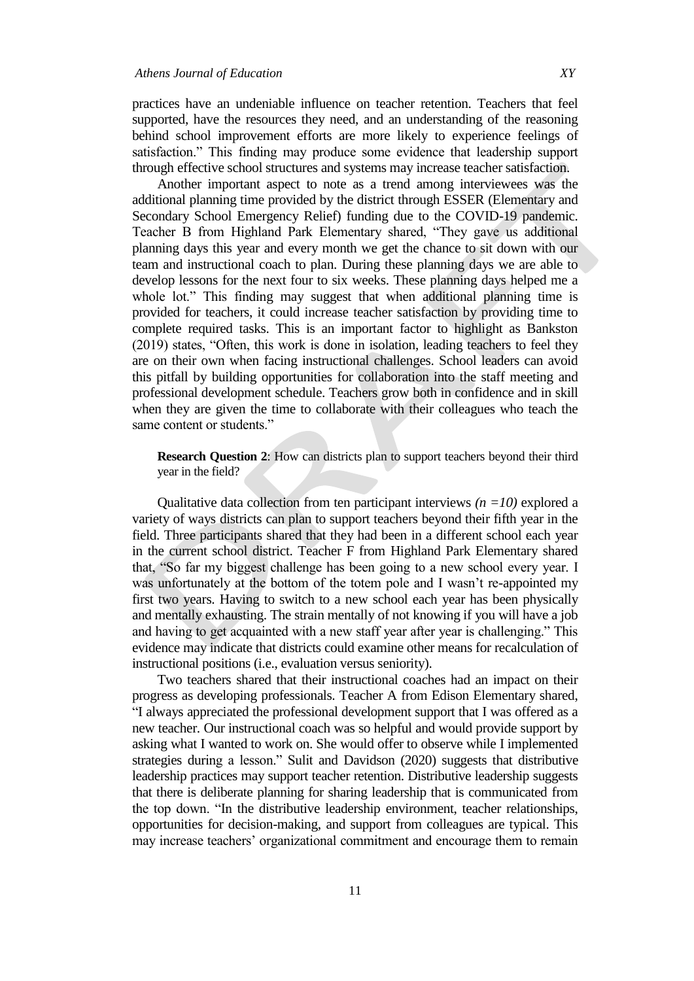practices have an undeniable influence on teacher retention. Teachers that feel supported, have the resources they need, and an understanding of the reasoning behind school improvement efforts are more likely to experience feelings of satisfaction." This finding may produce some evidence that leadership support through effective school structures and systems may increase teacher satisfaction.

Another important aspect to note as a trend among interviewees was the additional planning time provided by the district through ESSER (Elementary and Secondary School Emergency Relief) funding due to the COVID-19 pandemic. Teacher B from Highland Park Elementary shared, "They gave us additional planning days this year and every month we get the chance to sit down with our team and instructional coach to plan. During these planning days we are able to develop lessons for the next four to six weeks. These planning days helped me a whole lot." This finding may suggest that when additional planning time is provided for teachers, it could increase teacher satisfaction by providing time to complete required tasks. This is an important factor to highlight as Bankston  $(2019)$  states, "Often, this work is done in isolation, leading teachers to feel they are on their own when facing instructional challenges. School leaders can avoid this pitfall by building opportunities for collaboration into the staff meeting and professional development schedule. Teachers grow both in confidence and in skill when they are given the time to collaborate with their colleagues who teach the same content or students."

**Research Question 2**: How can districts plan to support teachers beyond their third year in the field?

Qualitative data collection from ten participant interviews *(n =10)* explored a variety of ways districts can plan to support teachers beyond their fifth year in the field. Three participants shared that they had been in a different school each year in the current school district. Teacher F from Highland Park Elementary shared that, "So far my biggest challenge has been going to a new school every year. I was unfortunately at the bottom of the totem pole and I wasn't re-appointed my first two years. Having to switch to a new school each year has been physically and mentally exhausting. The strain mentally of not knowing if you will have a job and having to get acquainted with a new staff year after year is challenging." This evidence may indicate that districts could examine other means for recalculation of instructional positions (i.e., evaluation versus seniority).

Two teachers shared that their instructional coaches had an impact on their progress as developing professionals. Teacher A from Edison Elementary shared, "I always appreciated the professional development support that I was offered as a new teacher. Our instructional coach was so helpful and would provide support by asking what I wanted to work on. She would offer to observe while I implemented strategies during a lesson." Sulit and Davidson (2020) suggests that distributive leadership practices may support teacher retention. Distributive leadership suggests that there is deliberate planning for sharing leadership that is communicated from the top down. "In the distributive leadership environment, teacher relationships, opportunities for decision-making, and support from colleagues are typical. This may increase teachers' organizational commitment and encourage them to remain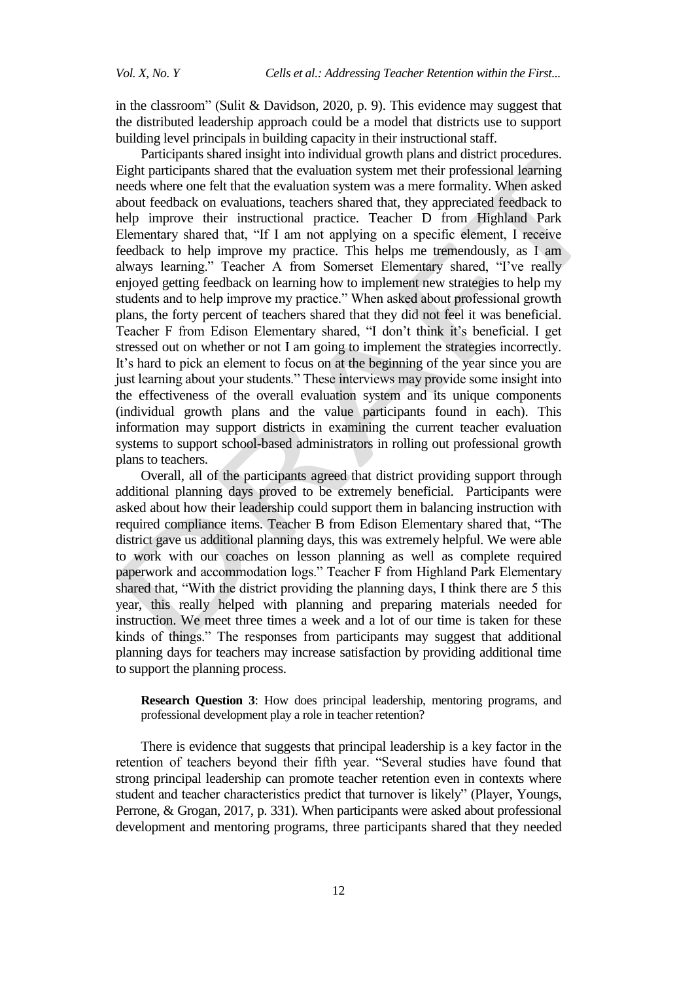in the classroom" (Sulit & Davidson, 2020, p. 9). This evidence may suggest that the distributed leadership approach could be a model that districts use to support building level principals in building capacity in their instructional staff.

Participants shared insight into individual growth plans and district procedures. Eight participants shared that the evaluation system met their professional learning needs where one felt that the evaluation system was a mere formality. When asked about feedback on evaluations, teachers shared that, they appreciated feedback to help improve their instructional practice. Teacher D from Highland Park Elementary shared that, "If I am not applying on a specific element, I receive feedback to help improve my practice. This helps me tremendously, as I am always learning." Teacher A from Somerset Elementary shared, "I've really enjoyed getting feedback on learning how to implement new strategies to help my students and to help improve my practice." When asked about professional growth plans, the forty percent of teachers shared that they did not feel it was beneficial. Teacher F from Edison Elementary shared, "I don't think it's beneficial. I get stressed out on whether or not I am going to implement the strategies incorrectly. It's hard to pick an element to focus on at the beginning of the year since you are just learning about your students." These interviews may provide some insight into the effectiveness of the overall evaluation system and its unique components (individual growth plans and the value participants found in each). This information may support districts in examining the current teacher evaluation systems to support school-based administrators in rolling out professional growth plans to teachers.

Overall, all of the participants agreed that district providing support through additional planning days proved to be extremely beneficial. Participants were asked about how their leadership could support them in balancing instruction with required compliance items. Teacher B from Edison Elementary shared that, "The district gave us additional planning days, this was extremely helpful. We were able to work with our coaches on lesson planning as well as complete required paperwork and accommodation logs." Teacher F from Highland Park Elementary shared that, "With the district providing the planning days, I think there are 5 this year, this really helped with planning and preparing materials needed for instruction. We meet three times a week and a lot of our time is taken for these kinds of things." The responses from participants may suggest that additional planning days for teachers may increase satisfaction by providing additional time to support the planning process.

**Research Question 3**: How does principal leadership, mentoring programs, and professional development play a role in teacher retention?

There is evidence that suggests that principal leadership is a key factor in the retention of teachers beyond their fifth year. "Several studies have found that strong principal leadership can promote teacher retention even in contexts where student and teacher characteristics predict that turnover is likely" (Player, Youngs, Perrone, & Grogan, 2017, p. 331). When participants were asked about professional development and mentoring programs, three participants shared that they needed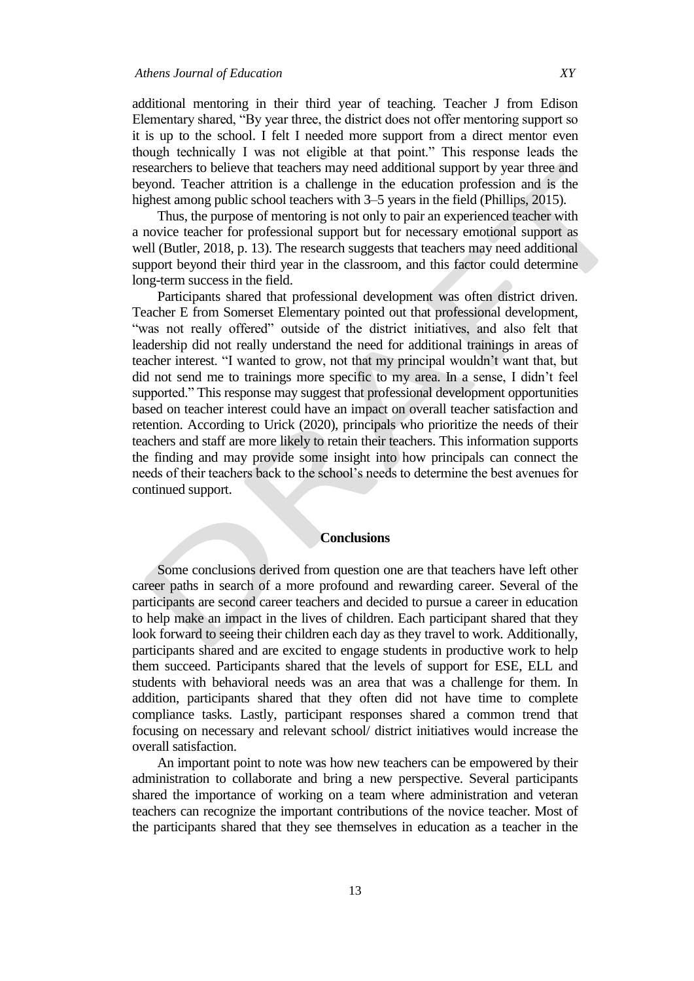additional mentoring in their third year of teaching. Teacher J from Edison Elementary shared, "By year three, the district does not offer mentoring support so it is up to the school. I felt I needed more support from a direct mentor even though technically I was not eligible at that point." This response leads the researchers to believe that teachers may need additional support by year three and beyond. Teacher attrition is a challenge in the education profession and is the highest among public school teachers with 3–5 years in the field (Phillips, 2015).

Thus, the purpose of mentoring is not only to pair an experienced teacher with a novice teacher for professional support but for necessary emotional support as well (Butler, 2018, p. 13). The research suggests that teachers may need additional support beyond their third year in the classroom, and this factor could determine long-term success in the field.

Participants shared that professional development was often district driven. Teacher E from Somerset Elementary pointed out that professional development, "was not really offered" outside of the district initiatives, and also felt that leadership did not really understand the need for additional trainings in areas of teacher interest. "I wanted to grow, not that my principal wouldn't want that, but did not send me to trainings more specific to my area. In a sense, I didn't feel supported." This response may suggest that professional development opportunities based on teacher interest could have an impact on overall teacher satisfaction and retention. According to Urick (2020), principals who prioritize the needs of their teachers and staff are more likely to retain their teachers. This information supports the finding and may provide some insight into how principals can connect the needs of their teachers back to the school's needs to determine the best avenues for continued support.

# **Conclusions**

Some conclusions derived from question one are that teachers have left other career paths in search of a more profound and rewarding career. Several of the participants are second career teachers and decided to pursue a career in education to help make an impact in the lives of children. Each participant shared that they look forward to seeing their children each day as they travel to work. Additionally, participants shared and are excited to engage students in productive work to help them succeed. Participants shared that the levels of support for ESE, ELL and students with behavioral needs was an area that was a challenge for them. In addition, participants shared that they often did not have time to complete compliance tasks. Lastly, participant responses shared a common trend that focusing on necessary and relevant school/ district initiatives would increase the overall satisfaction.

An important point to note was how new teachers can be empowered by their administration to collaborate and bring a new perspective. Several participants shared the importance of working on a team where administration and veteran teachers can recognize the important contributions of the novice teacher. Most of the participants shared that they see themselves in education as a teacher in the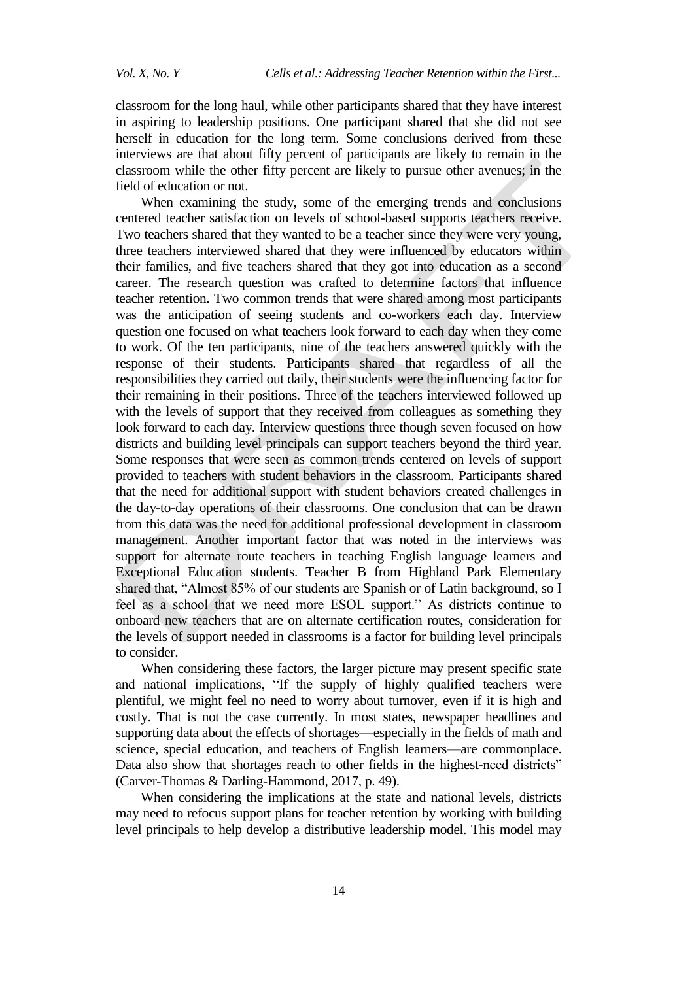classroom for the long haul, while other participants shared that they have interest in aspiring to leadership positions. One participant shared that she did not see herself in education for the long term. Some conclusions derived from these interviews are that about fifty percent of participants are likely to remain in the classroom while the other fifty percent are likely to pursue other avenues; in the field of education or not.

When examining the study, some of the emerging trends and conclusions centered teacher satisfaction on levels of school-based supports teachers receive. Two teachers shared that they wanted to be a teacher since they were very young, three teachers interviewed shared that they were influenced by educators within their families, and five teachers shared that they got into education as a second career. The research question was crafted to determine factors that influence teacher retention. Two common trends that were shared among most participants was the anticipation of seeing students and co-workers each day. Interview question one focused on what teachers look forward to each day when they come to work. Of the ten participants, nine of the teachers answered quickly with the response of their students. Participants shared that regardless of all the responsibilities they carried out daily, their students were the influencing factor for their remaining in their positions. Three of the teachers interviewed followed up with the levels of support that they received from colleagues as something they look forward to each day. Interview questions three though seven focused on how districts and building level principals can support teachers beyond the third year. Some responses that were seen as common trends centered on levels of support provided to teachers with student behaviors in the classroom. Participants shared that the need for additional support with student behaviors created challenges in the day-to-day operations of their classrooms. One conclusion that can be drawn from this data was the need for additional professional development in classroom management. Another important factor that was noted in the interviews was support for alternate route teachers in teaching English language learners and Exceptional Education students. Teacher B from Highland Park Elementary shared that, "Almost 85% of our students are Spanish or of Latin background, so I feel as a school that we need more ESOL support." As districts continue to onboard new teachers that are on alternate certification routes, consideration for the levels of support needed in classrooms is a factor for building level principals to consider.

When considering these factors, the larger picture may present specific state and national implications, "If the supply of highly qualified teachers were plentiful, we might feel no need to worry about turnover, even if it is high and costly. That is not the case currently. In most states, newspaper headlines and supporting data about the effects of shortages—especially in the fields of math and science, special education, and teachers of English learners—are commonplace. Data also show that shortages reach to other fields in the highest-need districts" (Carver-Thomas & Darling-Hammond, 2017, p. 49).

When considering the implications at the state and national levels, districts may need to refocus support plans for teacher retention by working with building level principals to help develop a distributive leadership model. This model may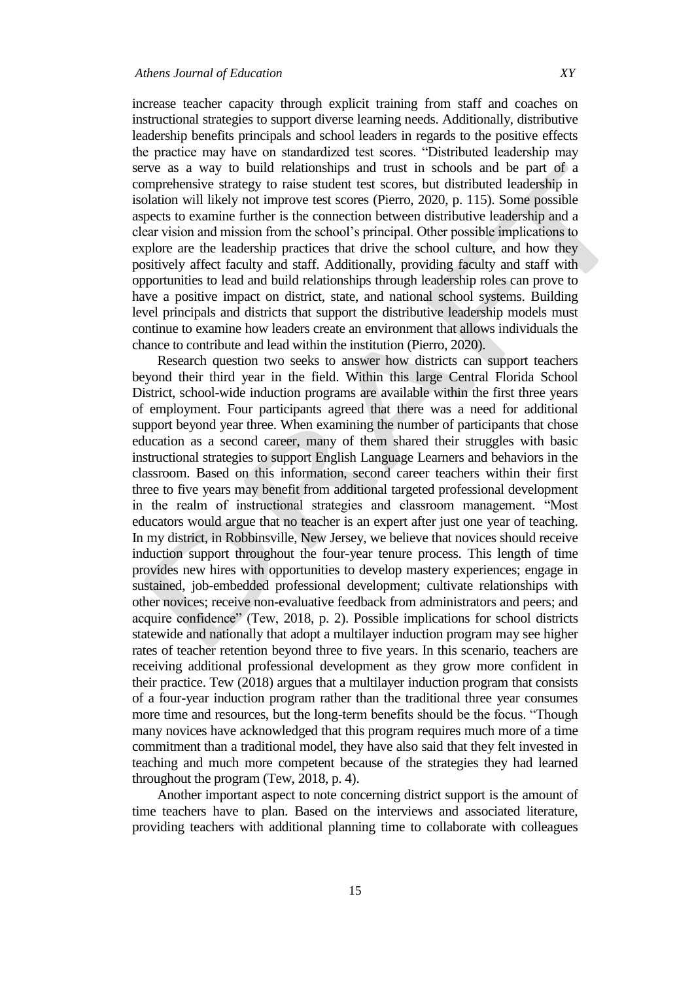increase teacher capacity through explicit training from staff and coaches on instructional strategies to support diverse learning needs. Additionally, distributive leadership benefits principals and school leaders in regards to the positive effects the practice may have on standardized test scores. "Distributed leadership may serve as a way to build relationships and trust in schools and be part of a comprehensive strategy to raise student test scores, but distributed leadership in isolation will likely not improve test scores (Pierro, 2020, p. 115). Some possible aspects to examine further is the connection between distributive leadership and a clear vision and mission from the school's principal. Other possible implications to explore are the leadership practices that drive the school culture, and how they positively affect faculty and staff. Additionally, providing faculty and staff with opportunities to lead and build relationships through leadership roles can prove to have a positive impact on district, state, and national school systems. Building level principals and districts that support the distributive leadership models must continue to examine how leaders create an environment that allows individuals the chance to contribute and lead within the institution (Pierro, 2020).

Research question two seeks to answer how districts can support teachers beyond their third year in the field. Within this large Central Florida School District, school-wide induction programs are available within the first three years of employment. Four participants agreed that there was a need for additional support beyond year three. When examining the number of participants that chose education as a second career, many of them shared their struggles with basic instructional strategies to support English Language Learners and behaviors in the classroom. Based on this information, second career teachers within their first three to five years may benefit from additional targeted professional development in the realm of instructional strategies and classroom management. "Most educators would argue that no teacher is an expert after just one year of teaching. In my district, in Robbinsville, New Jersey, we believe that novices should receive induction support throughout the four-year tenure process. This length of time provides new hires with opportunities to develop mastery experiences; engage in sustained, job-embedded professional development; cultivate relationships with other novices; receive non-evaluative feedback from administrators and peers; and acquire confidence" (Tew, 2018, p. 2). Possible implications for school districts statewide and nationally that adopt a multilayer induction program may see higher rates of teacher retention beyond three to five years. In this scenario, teachers are receiving additional professional development as they grow more confident in their practice. Tew (2018) argues that a multilayer induction program that consists of a four-year induction program rather than the traditional three year consumes more time and resources, but the long-term benefits should be the focus. "Though many novices have acknowledged that this program requires much more of a time commitment than a traditional model, they have also said that they felt invested in teaching and much more competent because of the strategies they had learned throughout the program (Tew, 2018, p. 4).

Another important aspect to note concerning district support is the amount of time teachers have to plan. Based on the interviews and associated literature, providing teachers with additional planning time to collaborate with colleagues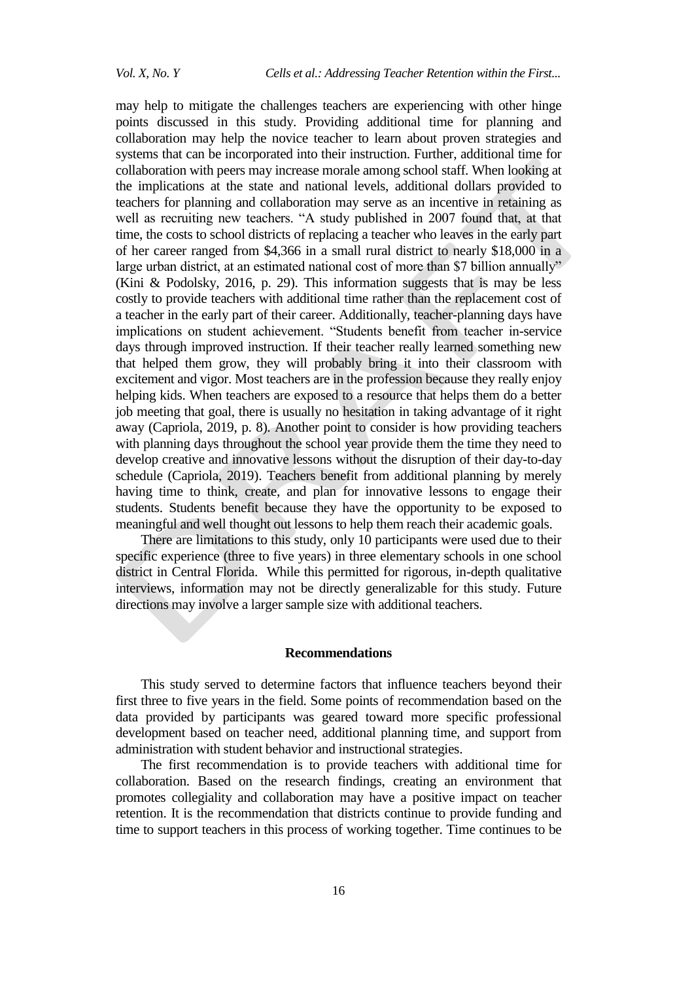may help to mitigate the challenges teachers are experiencing with other hinge points discussed in this study. Providing additional time for planning and collaboration may help the novice teacher to learn about proven strategies and systems that can be incorporated into their instruction. Further, additional time for collaboration with peers may increase morale among school staff. When looking at the implications at the state and national levels, additional dollars provided to teachers for planning and collaboration may serve as an incentive in retaining as well as recruiting new teachers. "A study published in 2007 found that, at that time, the costs to school districts of replacing a teacher who leaves in the early part of her career ranged from \$4,366 in a small rural district to nearly \$18,000 in a large urban district, at an estimated national cost of more than \$7 billion annually" (Kini & Podolsky, 2016, p. 29). This information suggests that is may be less costly to provide teachers with additional time rather than the replacement cost of a teacher in the early part of their career. Additionally, teacher-planning days have implications on student achievement. "Students benefit from teacher in-service days through improved instruction. If their teacher really learned something new that helped them grow, they will probably bring it into their classroom with excitement and vigor. Most teachers are in the profession because they really enjoy helping kids. When teachers are exposed to a resource that helps them do a better job meeting that goal, there is usually no hesitation in taking advantage of it right away (Capriola, 2019, p. 8). Another point to consider is how providing teachers with planning days throughout the school year provide them the time they need to develop creative and innovative lessons without the disruption of their day-to-day schedule (Capriola, 2019). Teachers benefit from additional planning by merely having time to think, create, and plan for innovative lessons to engage their students. Students benefit because they have the opportunity to be exposed to meaningful and well thought out lessons to help them reach their academic goals.

There are limitations to this study, only 10 participants were used due to their specific experience (three to five years) in three elementary schools in one school district in Central Florida. While this permitted for rigorous, in-depth qualitative interviews, information may not be directly generalizable for this study. Future directions may involve a larger sample size with additional teachers.

#### **Recommendations**

This study served to determine factors that influence teachers beyond their first three to five years in the field. Some points of recommendation based on the data provided by participants was geared toward more specific professional development based on teacher need, additional planning time, and support from administration with student behavior and instructional strategies.

The first recommendation is to provide teachers with additional time for collaboration. Based on the research findings, creating an environment that promotes collegiality and collaboration may have a positive impact on teacher retention. It is the recommendation that districts continue to provide funding and time to support teachers in this process of working together. Time continues to be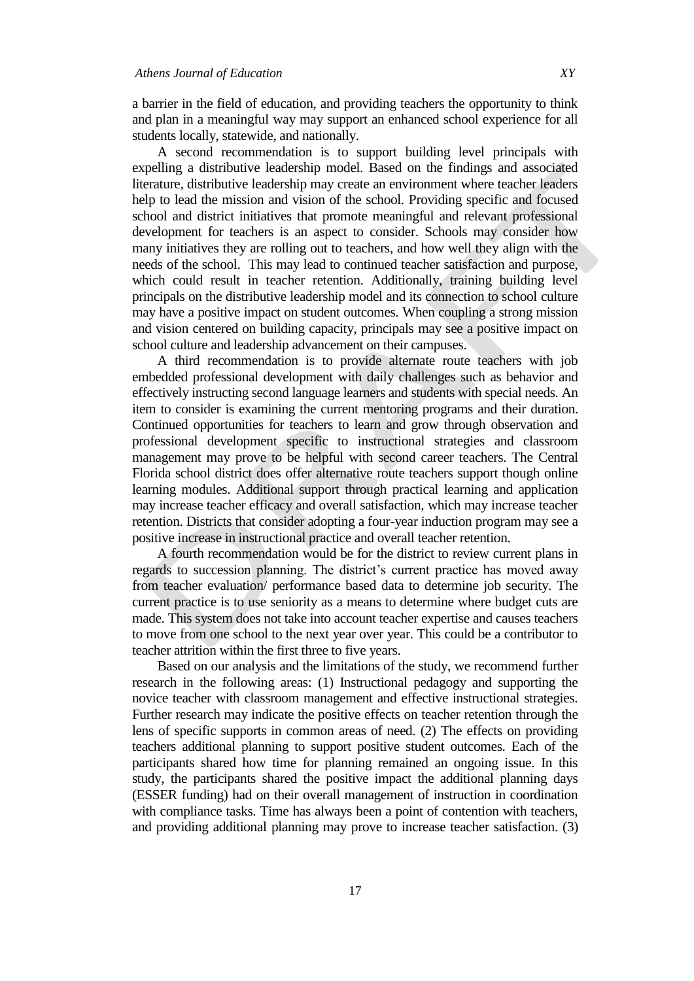a barrier in the field of education, and providing teachers the opportunity to think and plan in a meaningful way may support an enhanced school experience for all students locally, statewide, and nationally.

A second recommendation is to support building level principals with expelling a distributive leadership model. Based on the findings and associated literature, distributive leadership may create an environment where teacher leaders help to lead the mission and vision of the school. Providing specific and focused school and district initiatives that promote meaningful and relevant professional development for teachers is an aspect to consider. Schools may consider how many initiatives they are rolling out to teachers, and how well they align with the needs of the school. This may lead to continued teacher satisfaction and purpose, which could result in teacher retention. Additionally, training building level principals on the distributive leadership model and its connection to school culture may have a positive impact on student outcomes. When coupling a strong mission and vision centered on building capacity, principals may see a positive impact on school culture and leadership advancement on their campuses.

A third recommendation is to provide alternate route teachers with job embedded professional development with daily challenges such as behavior and effectively instructing second language learners and students with special needs. An item to consider is examining the current mentoring programs and their duration. Continued opportunities for teachers to learn and grow through observation and professional development specific to instructional strategies and classroom management may prove to be helpful with second career teachers. The Central Florida school district does offer alternative route teachers support though online learning modules. Additional support through practical learning and application may increase teacher efficacy and overall satisfaction, which may increase teacher retention. Districts that consider adopting a four-year induction program may see a positive increase in instructional practice and overall teacher retention.

A fourth recommendation would be for the district to review current plans in regards to succession planning. The district's current practice has moved away from teacher evaluation/ performance based data to determine job security. The current practice is to use seniority as a means to determine where budget cuts are made. This system does not take into account teacher expertise and causes teachers to move from one school to the next year over year. This could be a contributor to teacher attrition within the first three to five years.

Based on our analysis and the limitations of the study, we recommend further research in the following areas: (1) Instructional pedagogy and supporting the novice teacher with classroom management and effective instructional strategies. Further research may indicate the positive effects on teacher retention through the lens of specific supports in common areas of need. (2) The effects on providing teachers additional planning to support positive student outcomes. Each of the participants shared how time for planning remained an ongoing issue. In this study, the participants shared the positive impact the additional planning days (ESSER funding) had on their overall management of instruction in coordination with compliance tasks. Time has always been a point of contention with teachers, and providing additional planning may prove to increase teacher satisfaction. (3)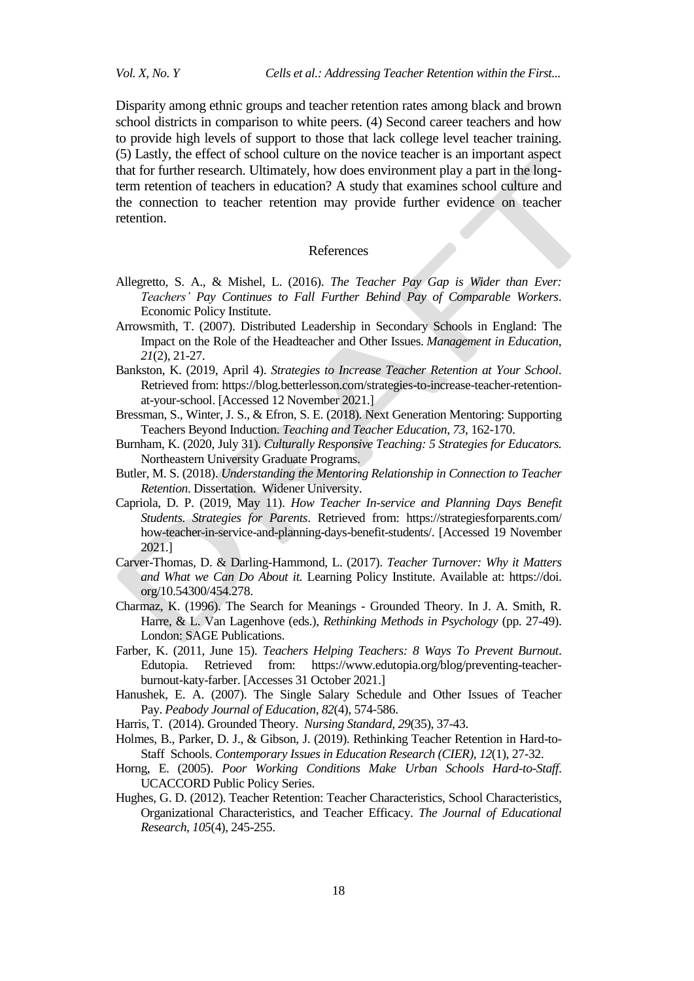Disparity among ethnic groups and teacher retention rates among black and brown school districts in comparison to white peers. (4) Second career teachers and how to provide high levels of support to those that lack college level teacher training. (5) Lastly, the effect of school culture on the novice teacher is an important aspect that for further research. Ultimately, how does environment play a part in the longterm retention of teachers in education? A study that examines school culture and the connection to teacher retention may provide further evidence on teacher retention.

#### References

- Allegretto, S. A., & Mishel, L. (2016). *The Teacher Pay Gap is Wider than Ever: Teachers' Pay Continues to Fall Further Behind Pay of Comparable Workers*. Economic Policy Institute.
- Arrowsmith, T. (2007). Distributed Leadership in Secondary Schools in England: The Impact on the Role of the Headteacher and Other Issues. *Management in Education*, *21*(2), 21-27.
- Bankston, K. (2019, April 4). *Strategies to Increase Teacher Retention at Your School*. Retrieved from: [https://blog.betterlesson.com/strategies-to-increase-teacher-retention](https://blog.betterlesson.com/strategies-to-increase-teacher-retention-at-your-school)[at-your-school.](https://blog.betterlesson.com/strategies-to-increase-teacher-retention-at-your-school) [Accessed 12 November 2021.]
- Bressman, S., Winter, J. S., & Efron, S. E. (2018). Next Generation Mentoring: Supporting Teachers Beyond Induction. *Teaching and Teacher Education*, *73*, 162-170.
- Burnham, K. (2020, July 31). *Culturally Responsive Teaching: 5 Strategies for Educators.* Northeastern University Graduate Programs.
- Butler, M. S. (2018). *Understanding the Mentoring Relationship in Connection to Teacher Retention*. Dissertation. Widener University.
- Capriola, D. P. (2019, May 11). *How Teacher In-service and Planning Days Benefit Students. Strategies for Parents*. Retrieved from: https://strategiesforparents.com/ how-teacher-in-service-and-planning-days-benefit-students/. [Accessed 19 November 2021.]
- Carver-Thomas, D. & Darling-Hammond, L. (2017). *Teacher Turnover: Why it Matters and What we Can Do About it.* Learning Policy Institute. Available at: https://doi. org/10.54300/454.278.
- Charmaz, K. (1996). The Search for Meanings Grounded Theory. In J. A. Smith, R. Harre, & L. Van Lagenhove (eds.), *Rethinking Methods in Psychology* (pp. 27-49). London: SAGE Publications.
- Farber, K. (2011, June 15). *Teachers Helping Teachers: 8 Ways To Prevent Burnout*. Edutopia. Retrieved from: [https://www.edutopia.org/blog/preventing-teacher](https://www.edutopia.org/blog/preventing-teacher-burnout-katy-farber)[burnout-katy-farber.](https://www.edutopia.org/blog/preventing-teacher-burnout-katy-farber) [Accesses 31 October 2021.]
- Hanushek, E. A. (2007). The Single Salary Schedule and Other Issues of Teacher Pay. *Peabody Journal of Education*, *82*(4), 574-586.
- Harris, T. (2014). Grounded Theory. *Nursing Standard, 29*(35), 37-43.
- Holmes, B., Parker, D. J., & Gibson, J. (2019). Rethinking Teacher Retention in Hard-to-Staff Schools. *Contemporary Issues in Education Research (CIER)*, *12*(1), 27-32.
- Horng, E. (2005). *Poor Working Conditions Make Urban Schools Hard-to-Staff*. UCACCORD Public Policy Series.
- Hughes, G. D. (2012). Teacher Retention: Teacher Characteristics, School Characteristics, Organizational Characteristics, and Teacher Efficacy. *The Journal of Educational Research*, *105*(4), 245-255.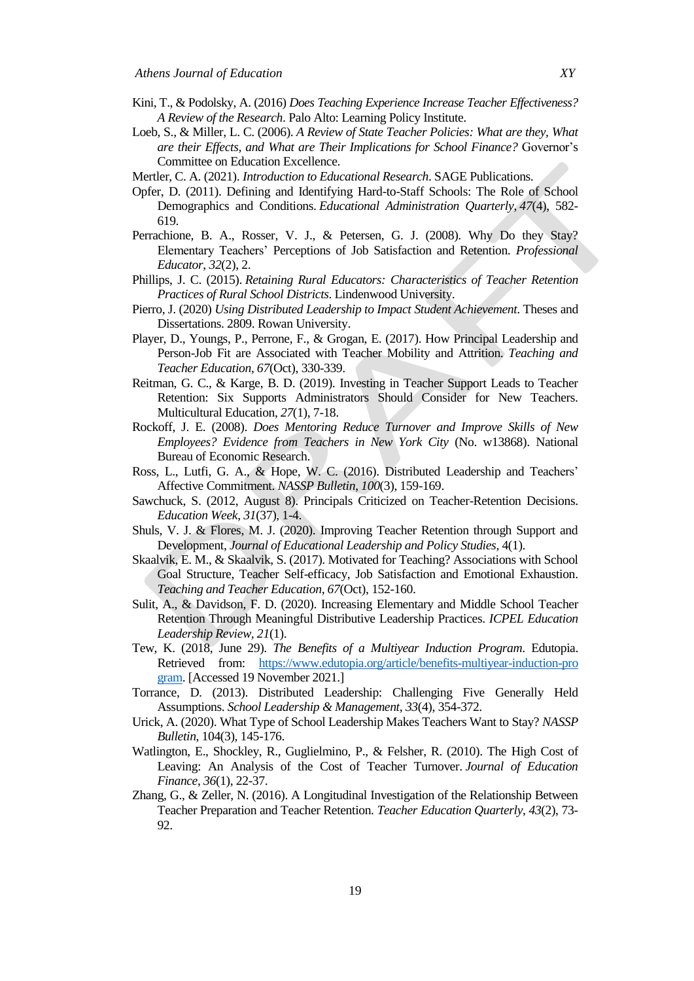- Kini, T., & Podolsky, A. (2016) *Does Teaching Experience Increase Teacher Effectiveness? A Review of the Research*. Palo Alto: Learning Policy Institute.
- Loeb, S., & Miller, L. C. (2006). *A Review of State Teacher Policies: What are they, What are their Effects, and What are Their Implications for School Finance?* Governor's Committee on Education Excellence.
- Mertler, C. A. (2021). *Introduction to Educational Research*. SAGE Publications.
- Opfer, D. (2011). Defining and Identifying Hard-to-Staff Schools: The Role of School Demographics and Conditions. *Educational Administration Quarterly*, *47*(4), 582- 619.
- Perrachione, B. A., Rosser, V. J., & Petersen, G. J. (2008). Why Do they Stay? Elementary Teachers' Perceptions of Job Satisfaction and Retention. *Professional Educator*, *32*(2), 2.
- Phillips, J. C. (2015). *Retaining Rural Educators: Characteristics of Teacher Retention Practices of Rural School Districts*. Lindenwood University.
- Pierro, J. (2020) *Using Distributed Leadership to Impact Student Achievement*. Theses and Dissertations. 2809. [Rowan](https://rdw.rowan.edu/etd/2809) University.
- Player, D., Youngs, P., Perrone, F., & Grogan, E. (2017). How Principal Leadership and Person-Job Fit are Associated with Teacher Mobility and Attrition. *Teaching and Teacher Education*, *67*(Oct), 330-339.
- Reitman, G. C., & Karge, B. D. (2019). Investing in Teacher Support Leads to Teacher Retention: Six Supports Administrators Should Consider for New Teachers. Multicultural Education, *27*(1), 7-18.
- Rockoff, J. E. (2008). *Does Mentoring Reduce Turnover and Improve Skills of New Employees? Evidence from Teachers in New York City* (No. w13868). National Bureau of Economic Research.
- Ross, L., Lutfi, G. A., & Hope, W. C. (2016). Distributed Leadership and Teachers' Affective Commitment. *NASSP Bulletin*, *100*(3), 159-169.
- Sawchuck, S. (2012, August 8). Principals Criticized on Teacher-Retention Decisions. *Education Week*, *31*(37), 1-4.
- Shuls, V. J. & Flores, M. J. (2020). Improving Teacher Retention through Support and Development, *Journal of Educational Leadership and Policy Studies*, 4(1).
- Skaalvik, E. M., & Skaalvik, S. (2017). Motivated for Teaching? Associations with School Goal Structure, Teacher Self-efficacy, Job Satisfaction and Emotional Exhaustion. *Teaching and Teacher Education*, *67*(Oct), 152-160.
- Sulit, A., & Davidson, F. D. (2020). Increasing Elementary and Middle School Teacher Retention Through Meaningful Distributive Leadership Practices. *ICPEL Education Leadership Review, 21*(1).
- Tew, K. (2018, June 29). *The Benefits of a Multiyear Induction Program*. Edutopia. Retrieved from: [https://www.edutopia.org/article/benefits-multiyear-induction-pro](https://www.edutopia.org/article/benefits-multiyear-induction-pro%20gram) [gram.](https://www.edutopia.org/article/benefits-multiyear-induction-pro%20gram) [Accessed 19 November 2021.]
- Torrance, D. (2013). Distributed Leadership: Challenging Five Generally Held Assumptions. *School Leadership & Management*, *33*(4), 354-372.
- Urick, A. (2020). What Type of School Leadership Makes Teachers Want to Stay? *NASSP Bulletin*, 104(3), 145-176.
- Watlington, E., Shockley, R., Guglielmino, P., & Felsher, R. (2010). The High Cost of Leaving: An Analysis of the Cost of Teacher Turnover. *Journal of Education Finance*, *36*(1), 22-37.
- Zhang, G., & Zeller, N. (2016). A Longitudinal Investigation of the Relationship Between Teacher Preparation and Teacher Retention. *Teacher Education Quarterly*, *43*(2), 73- 92.